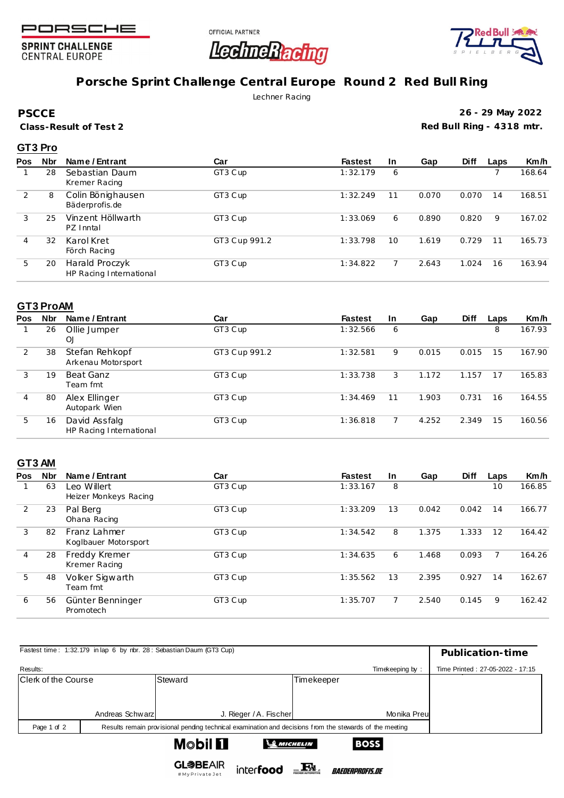

**SPRINT CHALLENGE CENTRAL EUROPE** 





## **Porsche Sprint Challenge Central Europe Round 2 Red Bull Ring**

Lechner Racing

**PSCCE**

**Class-Result of Test 2**

**26 - 29 May 2022 Red Bull Ring - 4318 mtr.**

### **GT3 Pro**

| <b>Pos</b> | <b>Nbr</b> | Name / Entrant                            | Car           | <b>Fastest</b> | <b>In</b> | Gap   | <b>Diff</b> | Laps | Km/h   |
|------------|------------|-------------------------------------------|---------------|----------------|-----------|-------|-------------|------|--------|
|            | 28         | Sebastian Daum<br>Kremer Racing           | GT3 Cup       | 1:32.179       | 6         |       |             |      | 168.64 |
| 2          | 8          | Colin Bönighausen<br>Bäderprofis.de       | GT3 Cup       | 1:32.249       | 11        | 0.070 | 0.070       | 14   | 168.51 |
| 3          | 25         | Vinzent Höllwarth<br>PZ Inntal            | GT3 Cup       | 1:33.069       | 6         | 0.890 | 0.820       | 9    | 167.02 |
| 4          | 32         | Karol Kret<br>Förch Racing                | GT3 Cup 991.2 | 1:33.798       | 10        | 1.619 | 0.729       | 11   | 165.73 |
| 5          | 20         | Harald Proczyk<br>HP Racing International | GT3 Cup       | 1:34.822       |           | 2.643 | 1.024       | 16   | 163.94 |

#### **GT3 ProAM**

| Pos | <b>Nbr</b> | Name / Entrant                           | Car           | <b>Fastest</b> | In. | Gap   | <b>Diff</b> | Laps | Km/h   |
|-----|------------|------------------------------------------|---------------|----------------|-----|-------|-------------|------|--------|
|     | 26         | Ollie Jumper<br>OJ                       | GT3 Cup       | 1:32.566       | 6   |       |             | 8    | 167.93 |
| 2   | 38         | Stefan Rehkopf<br>Arkenau Motorsport     | GT3 Cup 991.2 | 1:32.581       | 9   | 0.015 | 0.015       | 15   | 167.90 |
| 3   | 19         | Beat Ganz<br>Team fmt                    | GT3 Cup       | 1:33.738       | 3   | 1.172 | 1.157       | 17   | 165.83 |
| 4   | 80         | Alex Ellinger<br>Autopark Wien           | GT3 Cup       | 1:34.469       | 11  | 1.903 | 0.731       | 16   | 164.55 |
| 5   | 16         | David Assfalg<br>HP Racing International | GT3 Cup       | 1:36.818       |     | 4.252 | 2.349       | 15   | 160.56 |

### **GT3 AM**

| <b>Pos</b> | <b>Nbr</b> | Name / Entrant                       | Car     | <b>Fastest</b> | <b>In</b> | Gap   | <b>Diff</b> | Laps | Km/h   |
|------------|------------|--------------------------------------|---------|----------------|-----------|-------|-------------|------|--------|
|            | 63         | Leo Willert<br>Heizer Monkeys Racing | GT3 Cup | 1:33.167       | 8         |       |             | 10   | 166.85 |
| 2          | 23         | Pal Berg<br>Ohana Racing             | GT3 Cup | 1:33.209       | 13        | 0.042 | 0.042       | 14   | 166.77 |
| 3          | 82         | Franz Lahmer<br>Koglbauer Motorsport | GT3 Cup | 1:34.542       | 8         | 1.375 | 1.333       | 12   | 164.42 |
| 4          | 28         | Freddy Kremer<br>Kremer Racing       | GT3 Cup | 1:34.635       | 6         | 1.468 | 0.093       |      | 164.26 |
| 5          | 48         | Volker Sigwarth<br>Team fmt          | GT3 Cup | 1:35.562       | 13        | 2.395 | 0.927       | 14   | 162.67 |
| 6          | 56         | Günter Benninger<br>Promotech        | GT3 Cup | 1:35.707       |           | 2.540 | 0.145       | 9    | 162.42 |

|                                                           |                  | Fastest time: 1:32.179 in lap 6 by nbr. 28: Sebastian Daum (GT3 Cup) |                 |                                  |  |  |  |  |
|-----------------------------------------------------------|------------------|----------------------------------------------------------------------|-----------------|----------------------------------|--|--|--|--|
|                                                           | Publication-time |                                                                      |                 |                                  |  |  |  |  |
| Results:                                                  |                  |                                                                      | Timekeeping by: | Time Printed: 27-05-2022 - 17:15 |  |  |  |  |
| Clerk of the Course                                       |                  | Steward                                                              | Timekeeper      |                                  |  |  |  |  |
|                                                           |                  |                                                                      |                 |                                  |  |  |  |  |
|                                                           |                  |                                                                      |                 |                                  |  |  |  |  |
|                                                           | Andreas Schwarz  | J. Rieger / A. Fischer                                               | Monika Preul    |                                  |  |  |  |  |
| Page 1 of 2                                               |                  |                                                                      |                 |                                  |  |  |  |  |
| <b>M</b> obil <b>El</b><br><b>BOSS</b><br><b>MICHELIN</b> |                  |                                                                      |                 |                                  |  |  |  |  |